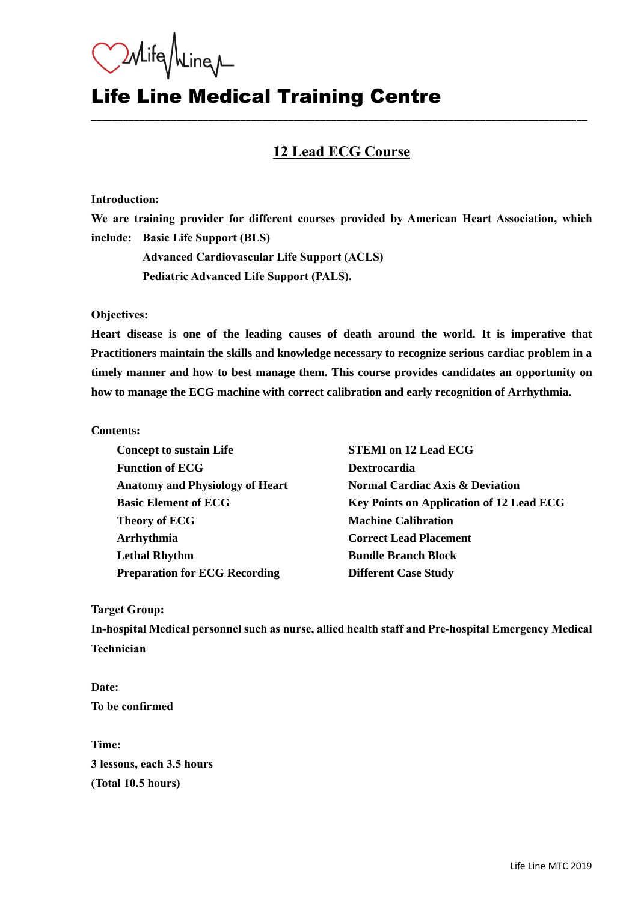Mife Mine

## Life Line Medical Training Centre

### **12 Lead ECG Course**

\_\_\_\_\_\_\_\_\_\_\_\_\_\_\_\_\_\_\_\_\_\_\_\_\_\_\_\_\_\_\_\_\_\_\_\_\_\_\_\_\_\_\_\_\_\_\_\_\_\_\_\_\_\_\_\_\_\_\_\_\_\_\_\_\_\_\_\_\_\_\_\_\_\_\_\_\_\_\_\_\_\_\_\_\_\_\_\_\_\_\_\_\_

#### **Introduction:**

**We are training provider for different courses provided by American Heart Association, which include: Basic Life Support (BLS)**

**Advanced Cardiovascular Life Support (ACLS) Pediatric Advanced Life Support (PALS).**

**Objectives:**

**Heart disease is one of the leading causes of death around the world. It is imperative that Practitioners maintain the skills and knowledge necessary to recognize serious cardiac problem in a timely manner and how to best manage them. This course provides candidates an opportunity on how to manage the ECG machine with correct calibration and early recognition of Arrhythmia.** 

#### **Contents:**

| <b>Concept to sustain Life</b>         | <b>STEMI</b> on 12 Lead ECG                     |
|----------------------------------------|-------------------------------------------------|
| <b>Function of ECG</b>                 | <b>Dextrocardia</b>                             |
| <b>Anatomy and Physiology of Heart</b> | <b>Normal Cardiac Axis &amp; Deviation</b>      |
| <b>Basic Element of ECG</b>            | <b>Key Points on Application of 12 Lead ECG</b> |
| <b>Theory of ECG</b>                   | <b>Machine Calibration</b>                      |
| Arrhythmia                             | <b>Correct Lead Placement</b>                   |
| <b>Lethal Rhythm</b>                   | <b>Bundle Branch Block</b>                      |
| <b>Preparation for ECG Recording</b>   | <b>Different Case Study</b>                     |

**Target Group:**

**In-hospital Medical personnel such as nurse, allied health staff and Pre-hospital Emergency Medical Technician**

**Date: To be confirmed**

**Time: 3 lessons, each 3.5 hours (Total 10.5 hours)**